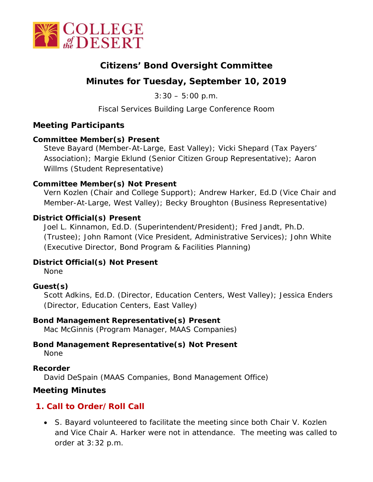

# **Citizens' Bond Oversight Committee**

# **Minutes for Tuesday, September 10, 2019**

 $3:30 - 5:00$  p.m.

Fiscal Services Building Large Conference Room

# **Meeting Participants**

#### **Committee Member(s) Present**

Steve Bayard (Member-At-Large, East Valley); Vicki Shepard (Tax Payers' Association); Margie Eklund (Senior Citizen Group Representative); Aaron Willms (Student Representative)

#### **Committee Member(s) Not Present**

Vern Kozlen (Chair and College Support); Andrew Harker, Ed.D (Vice Chair and Member-At-Large, West Valley); Becky Broughton (Business Representative)

#### **District Official(s) Present**

Joel L. Kinnamon, Ed.D. (Superintendent/President); Fred Jandt, Ph.D. (Trustee); John Ramont (Vice President, Administrative Services); John White (Executive Director, Bond Program & Facilities Planning)

#### **District Official(s) Not Present**

None

### **Guest(s)**

Scott Adkins, Ed.D. (Director, Education Centers, West Valley); Jessica Enders (Director, Education Centers, East Valley)

#### **Bond Management Representative(s) Present**

Mac McGinnis (Program Manager, MAAS Companies)

### **Bond Management Representative(s) Not Present**

None

#### **Recorder**

David DeSpain (MAAS Companies, Bond Management Office)

### **Meeting Minutes**

# **1. Call to Order/Roll Call**

• S. Bayard volunteered to facilitate the meeting since both Chair V. Kozlen and Vice Chair A. Harker were not in attendance. The meeting was called to order at 3:32 p.m.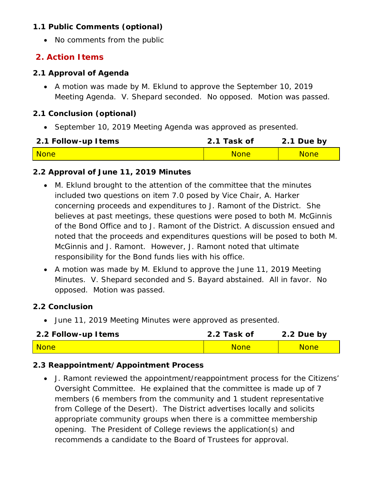### **1.1 Public Comments (optional)**

• No comments from the public

# **2. Action Items**

#### **2.1 Approval of Agenda**

• A motion was made by M. Eklund to approve the September 10, 2019 Meeting Agenda. V. Shepard seconded. No opposed. Motion was passed.

#### **2.1 Conclusion (optional)**

• September 10, 2019 Meeting Agenda was approved as presented.

| 2.1 Follow-up Items | 2.1 Task of | 2.1 Due by  |
|---------------------|-------------|-------------|
| <b>None</b>         | <b>None</b> | <b>None</b> |

#### **2.2 Approval of June 11, 2019 Minutes**

- M. Eklund brought to the attention of the committee that the minutes included two questions on item 7.0 posed by Vice Chair, A. Harker concerning proceeds and expenditures to J. Ramont of the District. She believes at past meetings, these questions were posed to both M. McGinnis of the Bond Office and to J. Ramont of the District. A discussion ensued and noted that the proceeds and expenditures questions will be posed to both M. McGinnis and J. Ramont. However, J. Ramont noted that ultimate responsibility for the Bond funds lies with his office.
- A motion was made by M. Eklund to approve the June 11, 2019 Meeting Minutes. V. Shepard seconded and S. Bayard abstained. All in favor. No opposed. Motion was passed.

#### **2.2 Conclusion**

• June 11, 2019 Meeting Minutes were approved as presented.

| 2.2 Follow-up Items | 2.2 Task of | 2.2 Due by  |
|---------------------|-------------|-------------|
| <b>None</b>         | <b>None</b> | <b>None</b> |

### **2.3 Reappointment/Appointment Process**

• J. Ramont reviewed the appointment/reappointment process for the Citizens' Oversight Committee. He explained that the committee is made up of 7 members (6 members from the community and 1 student representative from College of the Desert). The District advertises locally and solicits appropriate community groups when there is a committee membership opening. The President of College reviews the application(s) and recommends a candidate to the Board of Trustees for approval.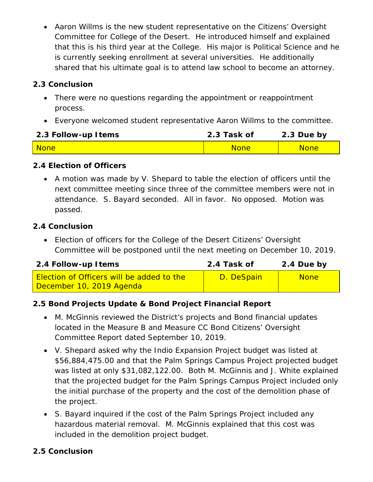• Aaron Willms is the new student representative on the Citizens' Oversight Committee for College of the Desert. He introduced himself and explained that this is his third year at the College. His major is Political Science and he is currently seeking enrollment at several universities. He additionally shared that his ultimate goal is to attend law school to become an attorney.

# **2.3 Conclusion**

- There were no questions regarding the appointment or reappointment process.
- Everyone welcomed student representative Aaron Willms to the committee.

| 2.3 Follow-up Items | 2.3 Task of | 2.3 Due by  |
|---------------------|-------------|-------------|
| <b>None</b>         | <b>None</b> | <b>None</b> |

### **2.4 Election of Officers**

• A motion was made by V. Shepard to table the election of officers until the next committee meeting since three of the committee members were not in attendance. S. Bayard seconded. All in favor. No opposed. Motion was passed.

#### **2.4 Conclusion**

• Election of officers for the College of the Desert Citizens' Oversight Committee will be postponed until the next meeting on December 10, 2019.

| 2.4 Follow-up Items                                                          | 2.4 Task of | 2.4 Due by  |
|------------------------------------------------------------------------------|-------------|-------------|
| <b>Election of Officers will be added to the</b><br>December 10, 2019 Agenda | D. DeSpain  | <b>None</b> |

# **2.5 Bond Projects Update & Bond Project Financial Report**

- M. McGinnis reviewed the District's projects and Bond financial updates located in the Measure B and Measure CC Bond Citizens' Oversight Committee Report dated September 10, 2019.
- V. Shepard asked why the Indio Expansion Project budget was listed at \$56,884,475.00 and that the Palm Springs Campus Project projected budget was listed at only \$31,082,122.00. Both M. McGinnis and J. White explained that the projected budget for the Palm Springs Campus Project included only the initial purchase of the property and the cost of the demolition phase of the project.
- S. Bayard inquired if the cost of the Palm Springs Project included any hazardous material removal. M. McGinnis explained that this cost was included in the demolition project budget.

### **2.5 Conclusion**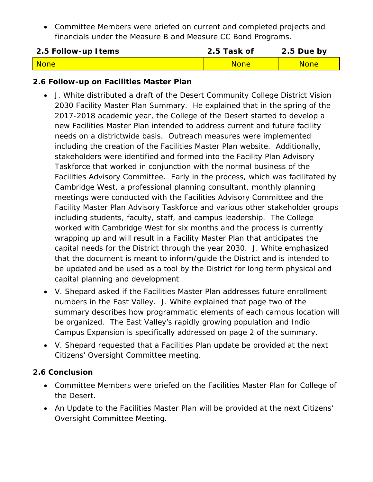• Committee Members were briefed on current and completed projects and financials under the Measure B and Measure CC Bond Programs.

| 2.5 Follow-up Items | 2.5 Task of | 2.5 Due by  |
|---------------------|-------------|-------------|
| <b>None</b>         | <b>None</b> | <b>None</b> |

#### **2.6 Follow-up on Facilities Master Plan**

- J. White distributed a draft of the Desert Community College District Vision 2030 Facility Master Plan Summary. He explained that in the spring of the 2017-2018 academic year, the College of the Desert started to develop a new Facilities Master Plan intended to address current and future facility needs on a districtwide basis. Outreach measures were implemented including the creation of the Facilities Master Plan website. Additionally, stakeholders were identified and formed into the Facility Plan Advisory Taskforce that worked in conjunction with the normal business of the Facilities Advisory Committee. Early in the process, which was facilitated by Cambridge West, a professional planning consultant, monthly planning meetings were conducted with the Facilities Advisory Committee and the Facility Master Plan Advisory Taskforce and various other stakeholder groups including students, faculty, staff, and campus leadership. The College worked with Cambridge West for six months and the process is currently wrapping up and will result in a Facility Master Plan that anticipates the capital needs for the District through the year 2030. J. White emphasized that the document is meant to inform/guide the District and is intended to be updated and be used as a tool by the District for long term physical and capital planning and development
- V. Shepard asked if the Facilities Master Plan addresses future enrollment numbers in the East Valley. J. White explained that page two of the summary describes how programmatic elements of each campus location will be organized. The East Valley's rapidly growing population and Indio Campus Expansion is specifically addressed on page 2 of the summary.
- V. Shepard requested that a Facilities Plan update be provided at the next Citizens' Oversight Committee meeting.

### **2.6 Conclusion**

- Committee Members were briefed on the Facilities Master Plan for College of the Desert.
- An Update to the Facilities Master Plan will be provided at the next Citizens' Oversight Committee Meeting.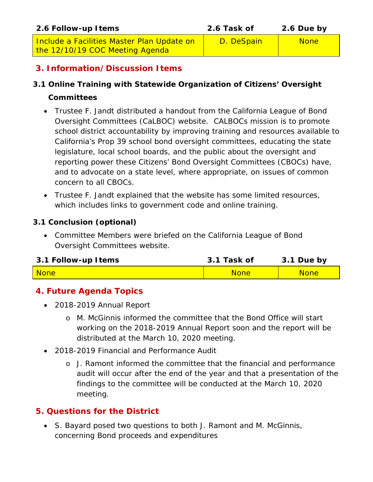| 2.6 Follow-up Items                                                           | 2.6 Task of | 2.6 Due by  |
|-------------------------------------------------------------------------------|-------------|-------------|
| Include a Facilities Master Plan Update on<br>the 12/10/19 COC Meeting Agenda | D. DeSpain  | <b>None</b> |

# **3. Information/Discussion Items**

## **3.1 Online Training with Statewide Organization of Citizens' Oversight**

#### **Committees**

- Trustee F. Jandt distributed a handout from the California League of Bond Oversight Committees (CaLBOC) website. CALBOCs mission is to promote school district accountability by improving training and resources available to California's Prop 39 school bond oversight committees, educating the state legislature, local school boards, and the public about the oversight and reporting power these Citizens' Bond Oversight Committees (CBOCs) have, and to advocate on a state level, where appropriate, on issues of common concern to all CBOCs.
- Trustee F. Jandt explained that the website has some limited resources, which includes links to government code and online training.

### **3.1 Conclusion (optional)**

• Committee Members were briefed on the California League of Bond Oversight Committees website.

| 3.1 Follow-up Items | 3.1 Task of | 3.1 Due by  |
|---------------------|-------------|-------------|
| None                | <b>None</b> | <b>None</b> |

# **4. Future Agenda Topics**

- 2018-2019 Annual Report
	- o M. McGinnis informed the committee that the Bond Office will start working on the 2018-2019 Annual Report soon and the report will be distributed at the March 10, 2020 meeting.
- 2018-2019 Financial and Performance Audit
	- o J. Ramont informed the committee that the financial and performance audit will occur after the end of the year and that a presentation of the findings to the committee will be conducted at the March 10, 2020 meeting.

# **5. Questions for the District**

• S. Bayard posed two questions to both J. Ramont and M. McGinnis, concerning Bond proceeds and expenditures